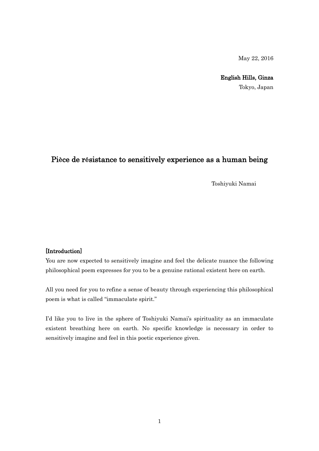May 22, 2016

English Hills, Ginza

Tokyo, Japan

## Pièce de résistance to sensitively experience as a human being

Toshiyuki Namai

## [Introduction]

You are now expected to sensitively imagine and feel the delicate nuance the following philosophical poem expresses for you to be a genuine rational existent here on earth.

All you need for you to refine a sense of beauty through experiencing this philosophical poem is what is called "immaculate spirit."

I'd like you to live in the sphere of Toshiyuki Namai's spirituality as an immaculate existent breathing here on earth. No specific knowledge is necessary in order to sensitively imagine and feel in this poetic experience given.